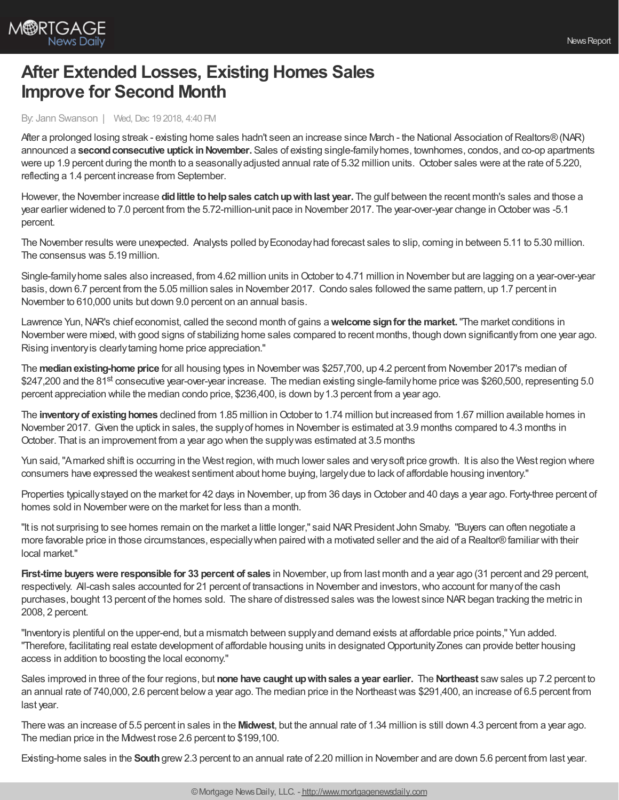

## **After Extended Losses, Existing Homes Sales Improve for Second Month**

By: Jann Swanson | Wed, Dec 19 2018, 4:40 PM

After a prolonged losing streak - existing home sales hadn't seen an increase since March - the National Association of Realtors® (NAR) announced a **second consecutive uptick in November.** Sales of existing single-family homes, townhomes, condos, and co-op apartments were up 1.9 percent during the month to a seasonallyadjusted annual rate of 5.32 million units. October sales were at the rate of 5.220, reflecting a 1.4 percent increase from September.

However, the November increase **didlittle tohelpsales catchupwithlast year.** The gulf between the recent month's sales and those a year earlier widened to 7.0 percent from the 5.72-million-unit pace in November 2017. The year-over-year change inOctober was -5.1 percent.

The November results were unexpected. Analysts polled byEconodayhad forecast sales to slip, coming in between 5.11 to 5.30 million. The consensus was 5.19 million.

Single-family home sales also increased, from 4.62 million units in October to 4.71 million in November but are lagging on a year-over-year basis, down 6.7 percent from the 5.05 million sales in November 2017. Condo sales followed the same pattern, up 1.7 percent in November to 610,000 units but down 9.0 percent on an annual basis.

Lawrence Yun,NAR's chief economist, called the second month of gains a**welcome signfor the market.**"The market conditions in November were mixed, with good signs of stabilizing home sales compared to recent months, though down significantly from one year ago. Rising inventoryis clearlytaming home price appreciation."

The **medianexisting-home price** for all housing types in November was \$257,700, up 4.2 percent from November 2017's median of \$247,200 and the 81<sup>st</sup> consecutive year-over-year increase. The median existing single-family home price was \$260,500, representing 5.0 percent appreciation while the median condo price, \$236,400, is down by1.3 percent from a year ago.

The inventory of existing homes declined from 1.85 million in October to 1.74 million but increased from 1.67 million available homes in November 2017. Given the uptick in sales, the supplyof homes in November is estimated at 3.9 months compared to 4.3 months in October. That is an improvement from a year ago when the supplywas estimated at 3.5 months

Yun said, "Amarked shift is occurring in the West region, with much lower sales and very soft price growth. It is also the West region where consumers have expressed the weakest sentiment about home buying, largelydue to lack of affordable housing inventory."

Properties typically stayed on the market for 42 days in November, up from 36 days in October and 40 days a year ago. Forty-three percent of homes sold in November were on the market for less than a month.

"It is not surprising to see homes remain on the market a little longer," said NARPresident John Smaby. "Buyers can often negotiate a more favorable price in those circumstances, especiallywhen paired with a motivated seller and the aid of a Realtor®familiar with their local market."

**First-time buyerswere responsible for 33 percent of sales** in November, up from last month and a year ago (31 percent and 29 percent, respectively. All-cash sales accounted for 21 percent of transactions in November and investors,who account for manyof the cash purchases, bought 13 percent of the homes sold. The share of distressed sales was the lowest since NARbegan tracking the metric in 2008, 2 percent.

"Inventoryis plentiful on the upper-end, but a mismatch between supplyand demand exists at affordable price points," Yun added. "Therefore, facilitating real estate development of affordable housing units in designated Opportunity Zones can provide better housing access in addition to boosting the local economy."

Sales improved in three of the four regions, but **none have caught upwithsales a year earlier.** The **Northeast** sawsales up 7.2 percent to an annual rate of 740,000, 2.6 percent belowa year ago. The median price in the Northeastwas \$291,400, an increase of 6.5 percent from last year.

There was an increase of 5.5 percent in sales in the **Midwest**, but the annual rate of 1.34 million is still down 4.3 percent from a year ago. The median price in the Midwest rose 2.6 percent to \$199,100.

Existing-home sales in the **South**grew2.3 percent to an annual rate of 2.20 million in November and are down 5.6 percent from last year.